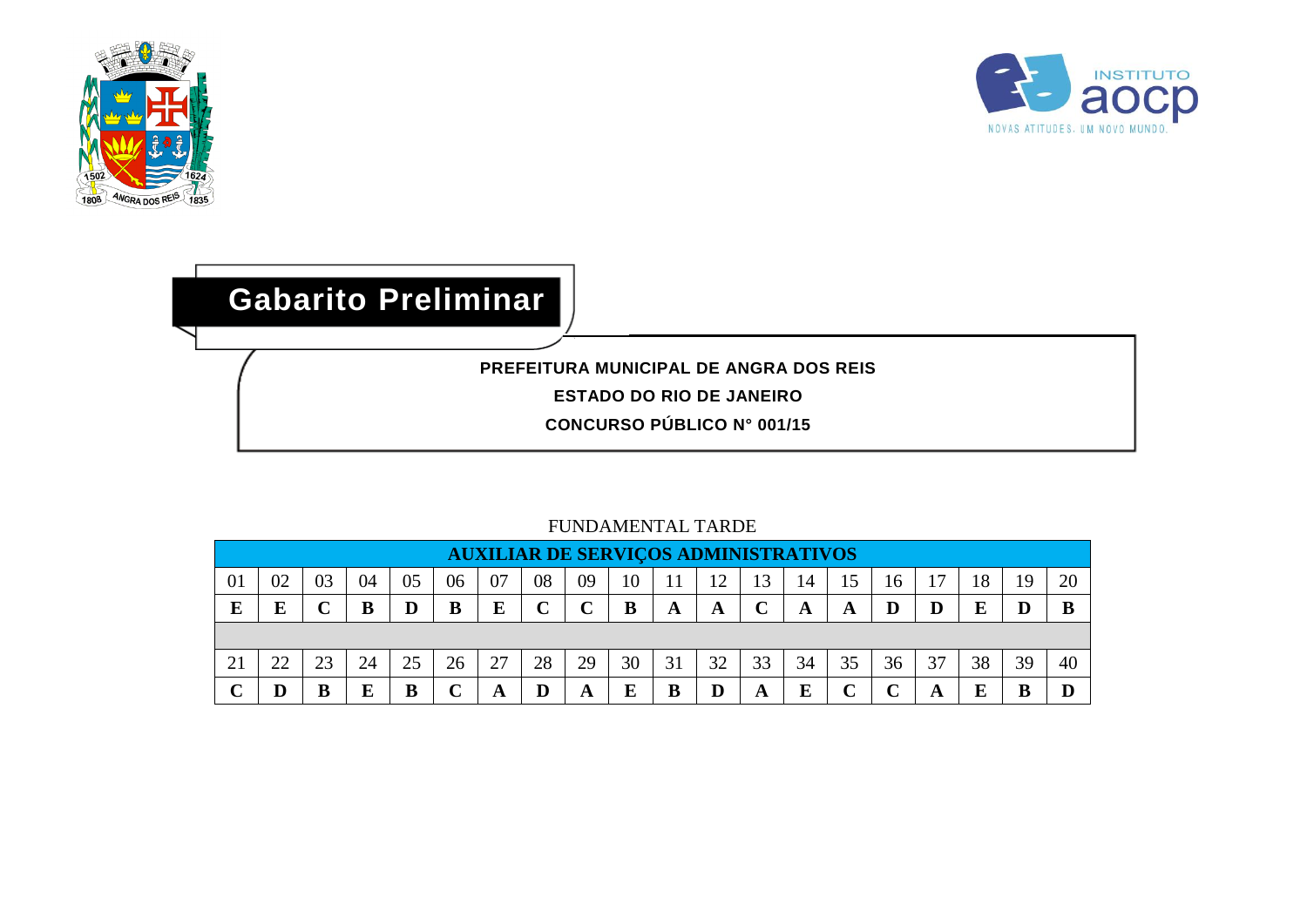



## **Gabarito Preliminar**

**PREFEITURA MUNICIPAL DE ANGRA DOS REIS**

**ESTADO DO RIO DE JANEIRO**

**CONCURSO PÚBLICO N° 001/15**

|    |                                                                                                                                       |    |    |    |             | <b>AUXILIAR DE SERVIÇOS ADMINISTRATIVOS</b> |             |    |    |    |    |    |    |             |    |    |    |    |    |
|----|---------------------------------------------------------------------------------------------------------------------------------------|----|----|----|-------------|---------------------------------------------|-------------|----|----|----|----|----|----|-------------|----|----|----|----|----|
| 01 | 07<br>08<br>03<br>$\mathbf{r}$<br>18<br>02<br>06<br>09<br>15<br>20<br>13<br>05<br>10<br>١Q<br>14<br>16<br>04<br>r<br>B<br>D<br>D<br>D |    |    |    |             |                                             |             |    |    |    |    |    |    |             |    |    |    |    |    |
| E  |                                                                                                                                       |    |    |    | B           | E                                           | $\mathbf C$ |    |    | A  | A  |    | A  | A           |    |    | Е  |    | B  |
|    |                                                                                                                                       |    |    |    |             |                                             |             |    |    |    |    |    |    |             |    |    |    |    |    |
| 21 | 22                                                                                                                                    | 23 | 24 | 25 | 26          | 27                                          | 28          | 29 | 30 | 31 | 32 | 33 | 34 | 35          | 36 | 37 | 38 | 39 | 40 |
|    |                                                                                                                                       |    |    | B  | $\mathbf C$ | A                                           | D           | A  | E  | B  |    | A  | E  | $\mathbf C$ |    | A  | Е  |    |    |

## FUNDAMENTAL TARDE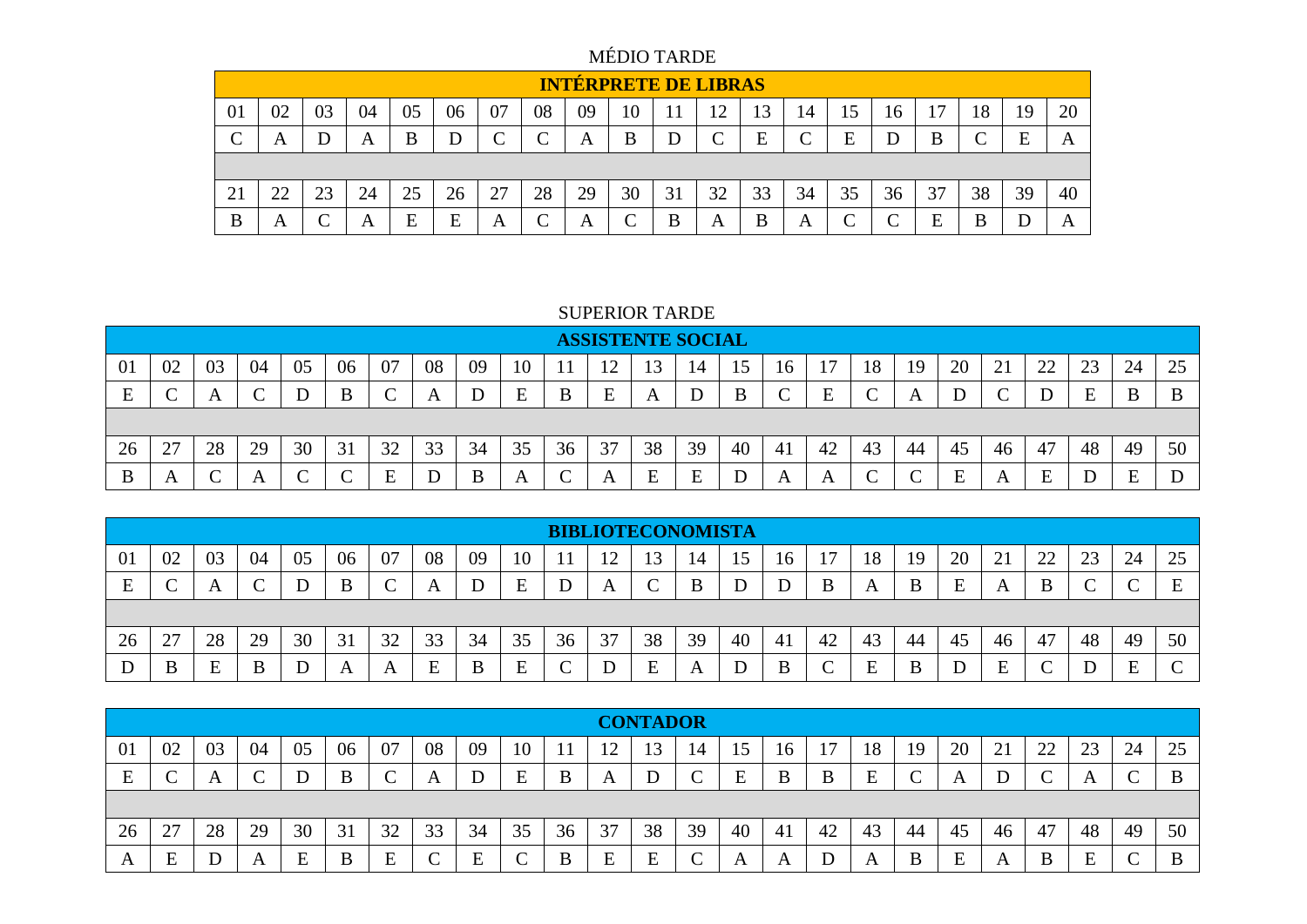MÉDIO TARDE

|    |          |    |    |    |    |                 |        |    | <b>INTÉRPRETE DE LIBRAS</b> |    |                 |          |                 |                 |            |        |            |    |    |
|----|----------|----|----|----|----|-----------------|--------|----|-----------------------------|----|-----------------|----------|-----------------|-----------------|------------|--------|------------|----|----|
| 01 | 02       | 03 | 04 | 05 | 06 | 07              | 08     | 09 | 10                          |    | $\sqrt{ }$<br>┸ | 13       | 14              | 15              | 16         | 17     | 18         | 19 | 20 |
|    | A        |    | A  | B  | D  | $\sqrt{ }$<br>◡ | $\sim$ | A  | B                           |    |                 | E<br>نلا | $\sqrt{ }$<br>◡ | Ε               | D          | B      | $\sqrt{ }$ | E  | A  |
|    |          |    |    |    |    |                 |        |    |                             |    |                 |          |                 |                 |            |        |            |    |    |
| 21 | າາ<br>44 | 23 | 24 | 25 | 26 | 27              | 28     | 29 | 30                          | 31 | 32              | 33       | 34              | 35              | 36         | 37     | 38         | 39 | 40 |
| B  | А        |    | Α  | E  | E  | A               | ⌒      | A  |                             | B  | A               |          | A               | $\sqrt{ }$<br>◡ | $\sqrt{ }$ | F<br>∸ | B          |    | A  |

## SUPERIOR TARDE

|                |              |    |    |    |        |        |             |    |    |    | <b>ASSISTENTE SOCIAL</b> |          |    |    |              |    |            |    |          |                   |                      |                      |    |    |
|----------------|--------------|----|----|----|--------|--------|-------------|----|----|----|--------------------------|----------|----|----|--------------|----|------------|----|----------|-------------------|----------------------|----------------------|----|----|
| 0 <sub>1</sub> | 02           | 03 | 04 | 05 | 06     | 07     | 08          | 09 | 10 |    |                          |          | 14 |    | 16           |    | 18         | 19 | 20       | $\bigcap$ 1<br>∠⊥ | $\gamma\gamma$<br>∠∠ | 2 <sup>2</sup><br>23 | 24 | 25 |
| F              |              |    |    |    | B      |        | A           |    | E  | B  | E                        | A        |    |    |              |    |            |    |          |                   |                      | ᠇<br>-               | B  |    |
|                |              |    |    |    |        |        |             |    |    |    |                          |          |    |    |              |    |            |    |          |                   |                      |                      |    |    |
| 26             | 27           | 28 | 29 | 30 | 31     | 32     | 33          | 34 | 35 | 36 | 37                       | 38       | 39 | 40 | 41           | 42 | 43         | 44 | 45       | 46                | 47                   | 48                   | 49 | 50 |
| B              | $\mathbf{A}$ |    |    |    | $\sim$ | Е<br>∸ | $\mathbf D$ | B  | A  | ◡  | $\overline{ }$           | F<br>نلا | E  |    | $\mathbf{A}$ |    | $\sqrt{ }$ |    | E<br>نلا |                   | E                    |                      | E  |    |

|    |            |    |    |    |    |    |         |    |    |    |    |        | <b>BIBLIOTECONOMISTA</b> |    |    |    |    |    |    |        |        |    |    |    |
|----|------------|----|----|----|----|----|---------|----|----|----|----|--------|--------------------------|----|----|----|----|----|----|--------|--------|----|----|----|
| 01 | 02         | 03 | 04 | 05 | 06 | 07 | 08      | 09 | 10 |    |    | 13     | 14                       | ╰  | 16 |    | 18 | 19 | 20 | 21     | 22     | 23 | 24 | 25 |
| E  | $\sqrt{ }$ | A  |    |    | B  |    | A       |    | E  |    | A  |        | B                        |    |    |    | A  |    | E  | A      | B      |    |    |    |
|    |            |    |    |    |    |    |         |    |    |    |    |        |                          |    |    |    |    |    |    |        |        |    |    |    |
| 26 | 27         | 28 | 29 | 30 | 31 | 32 | 33      | 34 | 35 | 36 | 37 | 38     | 39                       | 40 | 41 | 42 | 43 | 44 | 45 | 46     | 47     | 48 | 49 | 50 |
|    | B          |    | B  |    |    | A  | Е<br>دا | B  | E  |    |    | ┳<br>∸ | A                        |    | B  | ⌒  | ┳  |    |    | Ð<br>н | $\sim$ |    | -  |    |

|    |    |          |            |     |    |    |                 |    |    |    |    | <b>CONTADOR</b> |                                   |                  |    |    |    |    |        |                |                      |    |             |    |
|----|----|----------|------------|-----|----|----|-----------------|----|----|----|----|-----------------|-----------------------------------|------------------|----|----|----|----|--------|----------------|----------------------|----|-------------|----|
| 01 | 02 | 03       | 04         | 05  | 06 | 07 | 08              | 09 | 10 |    |    |                 | 14                                |                  | 10 |    | 18 | 19 | 20     | 21<br>$\sim$ 1 | $\gamma\gamma$<br>44 | 23 | 24          | 25 |
| E  | ◡  | $\Delta$ | $\sqrt{ }$ |     | B  |    | A               | D  | E  | B  | A  | D               | $\curvearrowright$<br>$\check{ }$ | E                | B  |    | E  |    |        |                |                      | A  | $\sqrt{ }$  | B  |
|    |    |          |            |     |    |    |                 |    |    |    |    |                 |                                   |                  |    |    |    |    |        |                |                      |    |             |    |
| 26 | 27 | 28       | 29         | 30  | 31 | 32 | 33              | 34 | 35 | 36 | 37 | 38              | 39                                | 40               | 41 | 42 | 43 | 44 | 45     | 46             | 47                   | 48 | 49          | 50 |
| A  | E  |          | A          | نلا | B  | E  | $\sqrt{ }$<br>◡ | Ε  | ◡  | B  | E  | E               | $\sim$<br>◡                       | $\boldsymbol{A}$ |    |    |    | B  | F<br>ப |                | B                    | E  | $\sim$<br>◡ | B  |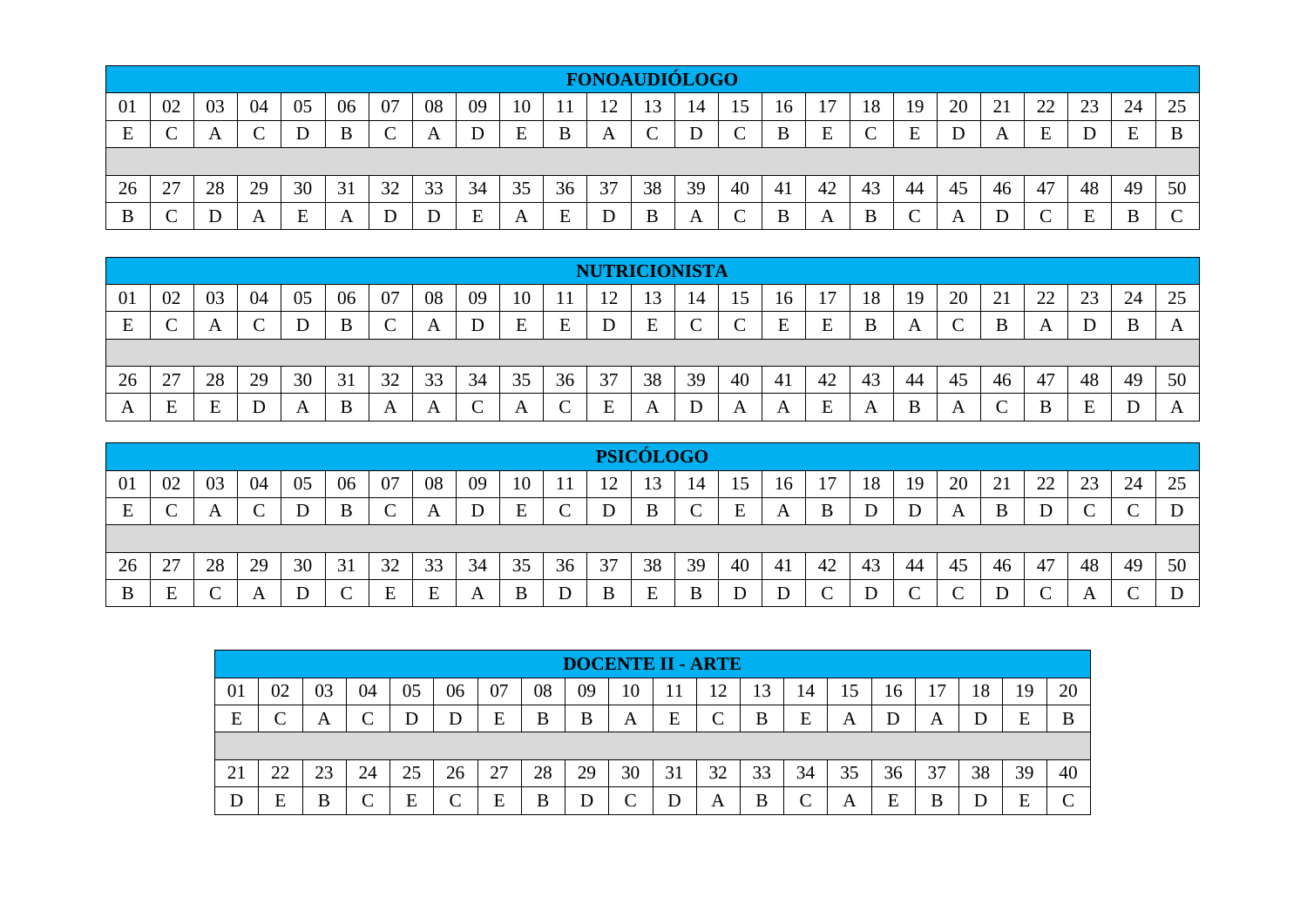|    |                                                                           |    |    |    |    |    |    |    |    |    |             |    | <b>FONOAUDIÓLOGO</b> |    |    |    |    |    |    |    |                |        |    |    |
|----|---------------------------------------------------------------------------|----|----|----|----|----|----|----|----|----|-------------|----|----------------------|----|----|----|----|----|----|----|----------------|--------|----|----|
| 01 | 02                                                                        | 03 | 04 | 05 | 06 | 07 | 08 | 09 | 10 |    | $1^{\circ}$ |    | 14                   |    | 16 |    | 18 | 19 | 20 | 21 | $\gamma$<br>44 | $\cap$ | 24 | 25 |
| E  | $\Gamma$<br>E<br>B<br>E<br>E<br>E<br>E<br>B<br>B<br>A<br>A<br>◡<br>◡<br>՝ |    |    |    |    |    |    |    |    |    |             |    |                      |    |    |    |    |    |    |    |                |        |    |    |
|    |                                                                           |    |    |    |    |    |    |    |    |    |             |    |                      |    |    |    |    |    |    |    |                |        |    |    |
| 26 | 27                                                                        | 28 | 29 | 30 | 31 | 32 | 33 | 34 | 35 | 36 | 37          | 38 | 39                   | 40 | 41 | 42 | 43 | 44 | 45 | 46 | 47             | 48     | 49 | 50 |
|    |                                                                           |    | A  | E  | A  |    |    | Е  | A  |    |             |    | A                    |    | B  | A  | B  |    | A  |    | $\sqrt{ }$     | E      | B  |    |

|    |          |    |    |    |        |    |    |    |    |    | <b>NUTRICIONISTA</b> |               |    |    |    |    |              |    |               |                |              |                       |    |    |
|----|----------|----|----|----|--------|----|----|----|----|----|----------------------|---------------|----|----|----|----|--------------|----|---------------|----------------|--------------|-----------------------|----|----|
| 01 | 02       | 03 | 04 | 05 | 06     | 07 | 08 | 09 | 10 |    | ∣ኅ                   | $\mathcal{R}$ | 14 | 15 | 16 |    | 18           | 19 | 20            | $\overline{a}$ | $\cap$<br>∠∠ | 2 <sup>2</sup><br>ل ک | 24 | 25 |
| E  |          |    |    |    | B      |    | A  |    | E  | E  |                      | E             | ◡  |    | E  | E  | B            | A  | $\Gamma$<br>╰ |                | $\mathbf{A}$ |                       | B  |    |
|    |          |    |    |    |        |    |    |    |    |    |                      |               |    |    |    |    |              |    |               |                |              |                       |    |    |
| 26 | 27       | 28 | 29 | 30 | 31     | 32 | 33 | 34 | 35 | 36 | 37                   | 38            | 39 | 40 | 41 | 42 | 43           | 44 | 45            | 46             | 47           | 48                    | 49 | 50 |
| A  | E<br>نلا | н  |    |    | D<br>B |    | A  |    | A  |    | Е<br>نلا             |               |    |    |    | ᠇  | $\mathbf{A}$ |    | A             |                | B            | $\blacksquare$<br>E   |    |    |

|    |                 |                  |    |    |            |    |    |    |    |    |    | <b>PSICÓLOGO</b> |             |    |       |    |    |    |            |    |            |        |        |    |
|----|-----------------|------------------|----|----|------------|----|----|----|----|----|----|------------------|-------------|----|-------|----|----|----|------------|----|------------|--------|--------|----|
| 01 | 02              | 03               | 04 | 05 | 06         | 07 | 08 | 09 | 10 |    | ◯  | 13               | 14          |    | 16    |    | 18 | 19 | 20         |    | 22         | 23     | 24     | 25 |
| E  | $\sqrt{ }$<br>◡ | $\boldsymbol{A}$ |    |    | B          |    | A  | D  | E  | 〜  |    | B                | $\mathbf C$ | E  | A     | B  | D  |    | A          | В  | D          | $\sim$ | $\sim$ | IJ |
|    |                 |                  |    |    |            |    |    |    |    |    |    |                  |             |    |       |    |    |    |            |    |            |        |        |    |
| 26 | 27              | 28               | 29 | 30 | 31         | 32 | 33 | 34 | 35 | 36 | 37 | 38               | 39          | 40 | $-4i$ | 42 | 43 | 44 | 45         | 46 | 47         | 48     | 49     | 50 |
| B  | E               |                  | A  |    | $\sqrt{ }$ | Е  | E  |    | B  |    | B  |                  | B           |    |       |    |    | ⌒  | $\sqrt{ }$ |    | $\sqrt{ }$ |        |        |    |

|    |             |    |    |    |        |    |    |    | <b>DOCENTE II - ARTE</b> |    |                 |    |                 |    |    |    |    |    |    |
|----|-------------|----|----|----|--------|----|----|----|--------------------------|----|-----------------|----|-----------------|----|----|----|----|----|----|
| 01 | 02          | 03 | 04 | 05 | 06     | 07 | 08 | 09 | 10                       |    | 12 <sup>°</sup> | 13 | 14              | 15 | 16 | 17 | 18 | 19 | 20 |
| E  | $\sim$<br>◟ | А  |    |    | D      | E  | B  | B  | A                        | E  |                 | B  | Ε               | A  |    | A  |    | E  | B  |
|    |             |    |    |    |        |    |    |    |                          |    |                 |    |                 |    |    |    |    |    |    |
| 21 | 22<br>∠∠    | 23 | 24 | 25 | 26     | 27 | 28 | 29 | 30                       | 31 | 32              | 33 | 34              | 35 | 36 | 37 | 38 | 39 | 40 |
| D  | E           | B  |    | E  | $\sim$ | E  | B  |    |                          |    | A               | B  | $\sqrt{ }$<br>◡ | А  | E  | B  |    | F  |    |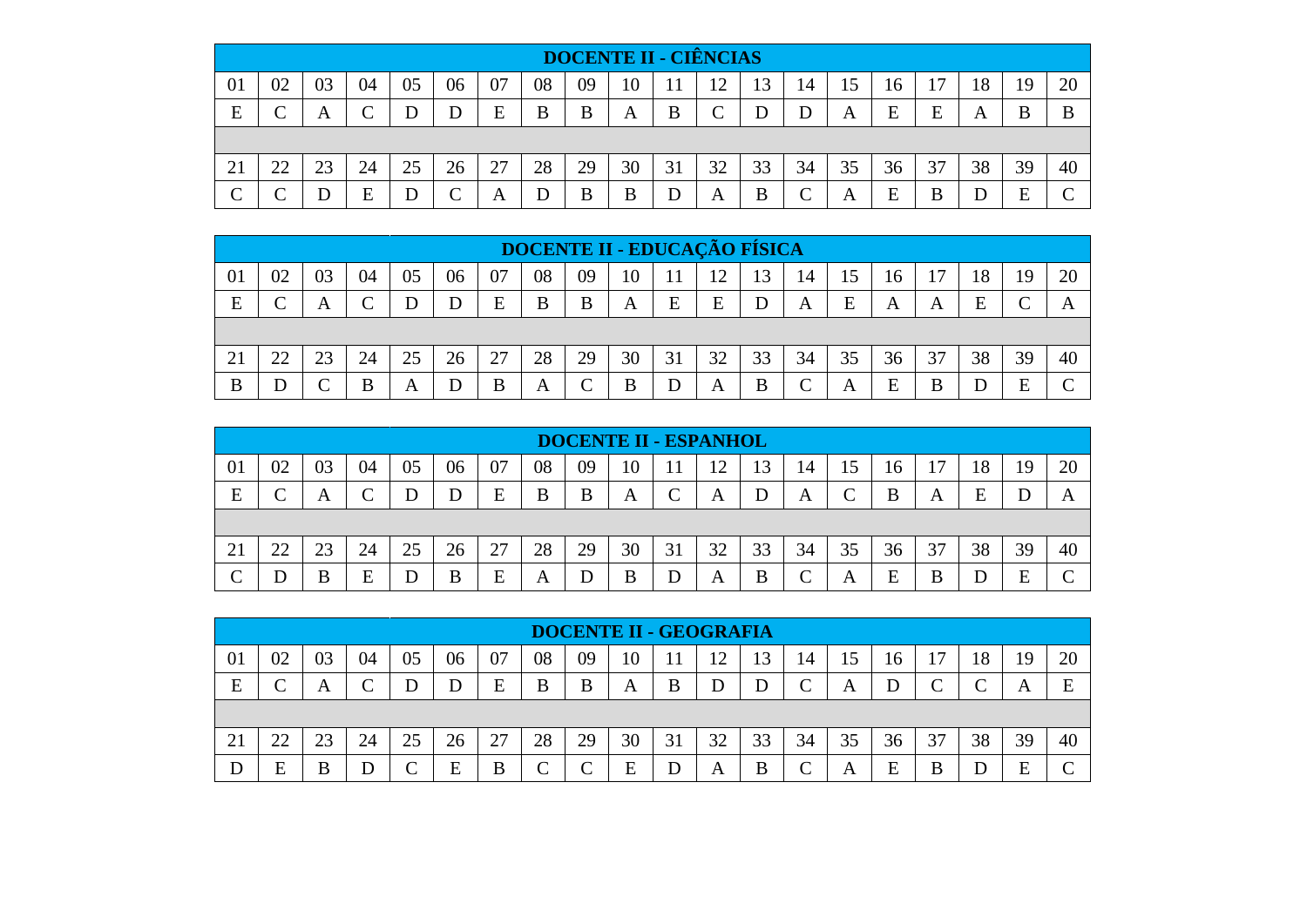|    |    |    |    |    |          |    |    |    | <b>DOCENTE II - CIÊNCIAS</b> |    |    |    |    |    |    |    |    |    |    |
|----|----|----|----|----|----------|----|----|----|------------------------------|----|----|----|----|----|----|----|----|----|----|
| 01 | 02 | 03 | 04 | 05 | 06       | 07 | 08 | 09 | 10                           |    |    | 13 | 14 | 15 | 16 | 17 | 18 | 19 | 20 |
| E  |    | A  |    |    | D        | E  | B  | B  | A                            | B  | ⌒  |    | D  | A  | E  | E  | A  | B  | B  |
|    |    |    |    |    |          |    |    |    |                              |    |    |    |    |    |    |    |    |    |    |
| 21 | 22 | 23 | 24 | 25 | 26       | 27 | 28 | 29 | 30                           | 31 | 32 | 33 | 34 | 35 | 36 | 37 | 38 | 39 | 40 |
| ⌒  |    |    | E  |    | $\Gamma$ | A  | D  | B  | B                            |    | A  | B  | ⌒  | A  | E  | B  |    | E  |    |

|    |               |    |    |    |    |    |    |            |    |              |    | <b>DOCENTE II - EDUCAÇÃO FÍSICA</b> |            |    |    |    |    |    |              |
|----|---------------|----|----|----|----|----|----|------------|----|--------------|----|-------------------------------------|------------|----|----|----|----|----|--------------|
| 01 | 02            | 03 | 04 | 05 | 06 | 07 | 08 | 09         | 10 | $\mathbf{1}$ |    | 13                                  | 14         | 15 | 16 | 17 | 18 | 19 | 20           |
| E  | U             | A  |    |    |    | E  | B  | B          | A  | E            | E  |                                     | A          | E  | A  | A  | Ε  |    | $\mathbf{A}$ |
|    |               |    |    |    |    |    |    |            |    |              |    |                                     |            |    |    |    |    |    |              |
| 21 | $\mathcal{D}$ | 23 | 24 | 25 | 26 | 27 | 28 | 29         | 30 | 31           | 32 | 33                                  | 34         | 35 | 36 | 37 | 38 | 39 | 40           |
| B  |               |    | R  | А  |    | B  | A  | $\sqrt{ }$ | В  | D            | А  | B                                   | $\sqrt{ }$ | А  | E  | В  |    | F  |              |

|    |    |          |    |    |    |    |    |    | <b>DOCENTE II - ESPANHOL</b> |    |           |    |          |                    |    |                |    |    |    |
|----|----|----------|----|----|----|----|----|----|------------------------------|----|-----------|----|----------|--------------------|----|----------------|----|----|----|
| 01 | 02 | 03       | 04 | 05 | 06 | 07 | 08 | 09 | 10                           |    |           | 13 | 14       | 15                 | 16 | 1 <sub>7</sub> | 18 | 19 | 20 |
| E  |    | A        |    |    | D  | E  | B  | В  | А                            |    | A         |    | A        | $\curvearrowright$ | B  | A              | Е  |    |    |
|    |    |          |    |    |    |    |    |    |                              |    |           |    |          |                    |    |                |    |    |    |
| 21 | 22 | ີ<br>2.3 | 24 | 25 | 26 | 27 | 28 | 29 | 30                           | 31 | ററ<br>ے ب | 33 | 34       | 35                 | 36 | 37             | 38 | 39 | 40 |
|    |    | R        | E  |    | B  | E  | А  |    | B                            |    | А         | B  | $\Gamma$ | A                  | E  | B              |    | F  |    |

|    | <b>DOCENTE II - GEOGRAFIA</b> |    |    |    |    |    |        |             |    |    |    |    |            |    |    |    |    |    |    |
|----|-------------------------------|----|----|----|----|----|--------|-------------|----|----|----|----|------------|----|----|----|----|----|----|
| 01 | 02                            | 03 | 04 | 05 | 06 | 07 | 08     | 09          | 10 |    | ∠  | 13 | 14         | 15 | 16 | 17 | 18 | 19 | 20 |
| E  |                               | A  |    |    | D  | E  | B      | B           | A  | B  |    |    | $\sqrt{ }$ | А  |    |    |    | A  | F  |
|    |                               |    |    |    |    |    |        |             |    |    |    |    |            |    |    |    |    |    |    |
| 21 | 22                            | 23 | 24 | 25 | 26 | 27 | 28     | 29          | 30 | 31 | 32 | 33 | 34         | 35 | 36 | 37 | 38 | 39 | 40 |
|    | E                             | В  |    |    | E  | B  | $\sim$ | $\sim$<br>v | E  |    | A  | B  | ⌒          | A  | E  | B  |    | E  |    |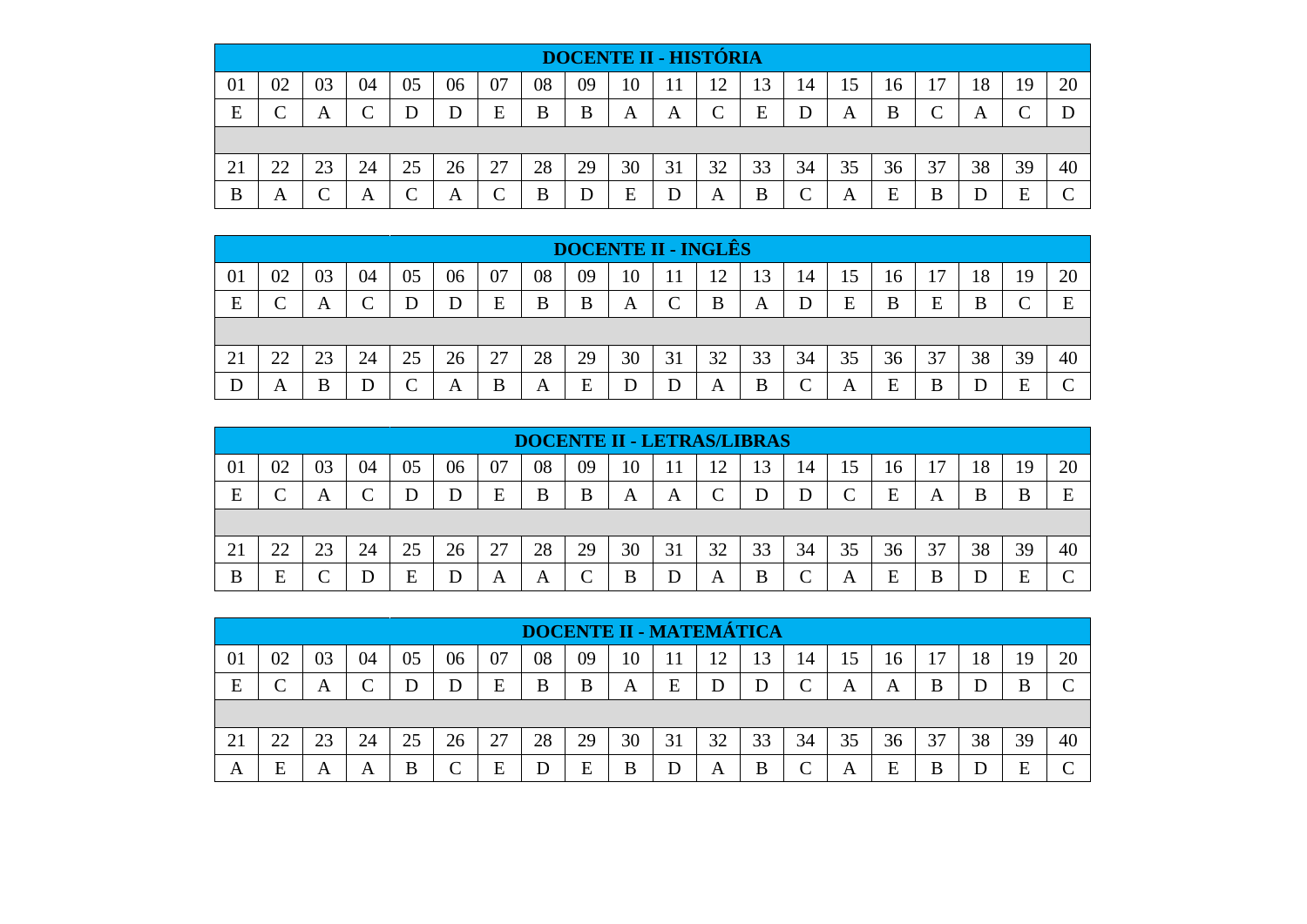|    | <b>DOCENTE II - HISTÓRIA</b> |    |    |    |    |               |    |    |    |     |    |    |                 |    |    |    |    |    |    |
|----|------------------------------|----|----|----|----|---------------|----|----|----|-----|----|----|-----------------|----|----|----|----|----|----|
| 01 | 02                           | 03 | 04 | 05 | 06 | 07            | 08 | 09 | 10 | l 1 | ി  | 13 | 14              | 15 | 16 | 17 | 18 | 19 | 20 |
| E  | $\sim$                       | A  |    | D  | D  | E             | B  | B  | A  | A   |    | E  | D               | A  | B  |    | A  |    |    |
|    |                              |    |    |    |    |               |    |    |    |     |    |    |                 |    |    |    |    |    |    |
| 21 | 22                           | 23 | 24 | 25 | 26 | 27            | 28 | 29 | 30 | 31  | 32 | 33 | 34              | 35 | 36 | 37 | 38 | 39 | 40 |
| B  | A                            |    | A  | ⌒  | A  | $\Gamma$<br>◡ | B  | D  | E  |     | A  | B  | $\sqrt{ }$<br>◡ | A  | E  | B  |    | E  |    |

|    | <b>DOCENTE II - INGLÉS</b> |    |    |    |    |    |    |        |    |            |    |    |            |    |    |    |    |    |        |
|----|----------------------------|----|----|----|----|----|----|--------|----|------------|----|----|------------|----|----|----|----|----|--------|
| 01 | 02                         | 03 | 04 | 05 | 06 | 07 | 08 | 09     |    |            | ∸  | 13 | 14         | 15 | 16 | 17 | 18 | 19 | 20     |
| E  | $\sim$                     | A  |    |    | D  | E  | B  | B      | A  | $\sqrt{ }$ | B  | A  | D          | E  | B  | E  | B  |    | F      |
|    |                            |    |    |    |    |    |    |        |    |            |    |    |            |    |    |    |    |    |        |
| 21 | つつ                         | 23 | 24 | 25 | 26 | 27 | 28 | 29     | 30 | 31         | 32 | 33 | 34         | 35 | 36 | 37 | 38 | 39 | 40     |
|    | A                          | B  |    |    | A  | B  | Α  | F<br>ت |    |            | Α  | B  | $\sqrt{ }$ | A  | E  | B  |    | F  | $\sim$ |

|    | <b>DOCENTE II - LETRAS/LIBRAS</b> |    |    |    |    |    |    |    |    |    |    |    |          |    |    |                |    |    |    |
|----|-----------------------------------|----|----|----|----|----|----|----|----|----|----|----|----------|----|----|----------------|----|----|----|
| 01 | 02                                | 03 | 04 | 05 | 06 | 07 | 08 | 09 | 10 |    |    | 13 | 14       | 15 | 16 | $\overline{ }$ | 8  | ۱Q | 20 |
| E  |                                   | А  |    |    | D  | E  | B  | B  | Α  | A  |    |    |          |    | E  | A              | В  | В  | E  |
|    |                                   |    |    |    |    |    |    |    |    |    |    |    |          |    |    |                |    |    |    |
| 21 | つつ                                | 23 | 24 | 25 | 26 | 27 | 28 | 29 | 30 | 31 | 32 | 33 | 34       | 35 | 36 | 37             | 38 | 39 | 40 |
| B  | E                                 |    |    | F  | D  | A  | А  | ⌒  | В  |    | А  | B  | $\Gamma$ | A  | E  | В              |    | F  |    |

|    | <b>DOCENTE II - MATEMÁTICA</b> |    |    |    |    |    |    |    |    |    |    |    |    |    |    |    |    |        |    |
|----|--------------------------------|----|----|----|----|----|----|----|----|----|----|----|----|----|----|----|----|--------|----|
| 01 | 02                             | 03 | 04 | 05 | 06 | 07 | 08 | 09 |    |    |    | 13 | 14 | 15 | 16 | 17 | 18 | 19     | 20 |
| E  |                                | А  |    |    |    | E  | B  | B  | A  | Ε  |    |    | ⌒  | A  | А  | B  |    |        |    |
|    |                                |    |    |    |    |    |    |    |    |    |    |    |    |    |    |    |    |        |    |
| 21 | つつ                             | 23 | 24 | 25 | 26 | 27 | 28 | 29 | 30 | 31 | 32 | 33 | 34 | 35 | 36 | 37 | 38 | 39     | 40 |
| A  | Е                              | A  | A  | B  | ⌒  | E  | D  | E  | В  |    | А  | B  | ⌒  | A  | E  | B  |    | ᠇<br>н |    |